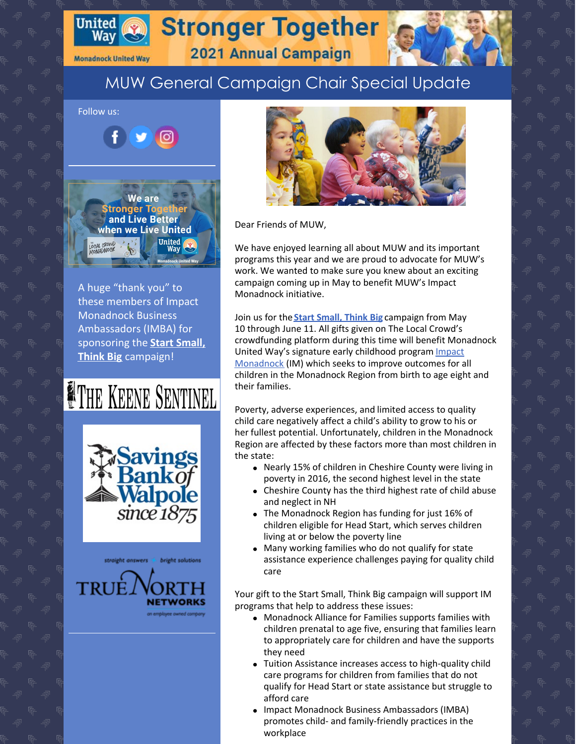

**Monadnock United Way** 

## **Stronger Together**

2021 Annual Campaign

### MUW General Campaign Chair Special Update

Follow us: ര **We are** Stronger To and Live Better when we Live United United OCAL CROWD

A huge "thank you" to these members of Impact Monadnock Business Ambassadors (IMBA) for [sponsoring](https://give.communityfunded.com/o/tlcmonadnock/i/tlc/s/impact-monadnock) the **Start Small, Think Big** campaign!

# **NETHE KEENE SENTINEL**

savings ankof **Walpole**<br>since 1875

straight answers bright solutions TRUE



Dear Friends of MUW,

We have enjoyed learning all about MUW and its important programs this year and we are proud to advocate for MUW's work. We wanted to make sure you knew about an exciting campaign coming up in May to benefit MUW's Impact Monadnock initiative.

Join us for the **Start [Small,](https://give.communityfunded.com/o/tlcmonadnock/i/tlc/s/impact-monadnock) Think Big** campaign from May 10 through June 11. All gifts given on The Local Crowd's crowdfunding platform during this time will benefit Monadnock United Way's signature early childhood program Impact [Monadnock](https://www.muw.org/impact) (IM) which seeks to improve outcomes for all children in the Monadnock Region from birth to age eight and their families.

Poverty, adverse experiences, and limited access to quality child care negatively affect a child's ability to grow to his or her fullest potential. Unfortunately, children in the Monadnock Region are affected by these factors more than most children in the state:

- Nearly 15% of children in Cheshire County were living in poverty in 2016, the second highest level in the state
- Cheshire County has the third highest rate of child abuse and neglect in NH
- The Monadnock Region has funding for just 16% of children eligible for Head Start, which serves children living at or below the poverty line
- Many working families who do not qualify for state assistance experience challenges paying for quality child care

Your gift to the Start Small, Think Big campaign will support IM programs that help to address these issues:

- Monadnock Alliance for Families supports families with children prenatal to age five, ensuring that families learn to appropriately care for children and have the supports they need
- Tuition Assistance increases access to high-quality child care programs for children from families that do not qualify for Head Start or state assistance but struggle to afford care
- Impact Monadnock Business Ambassadors (IMBA) promotes child- and family-friendly practices in the workplace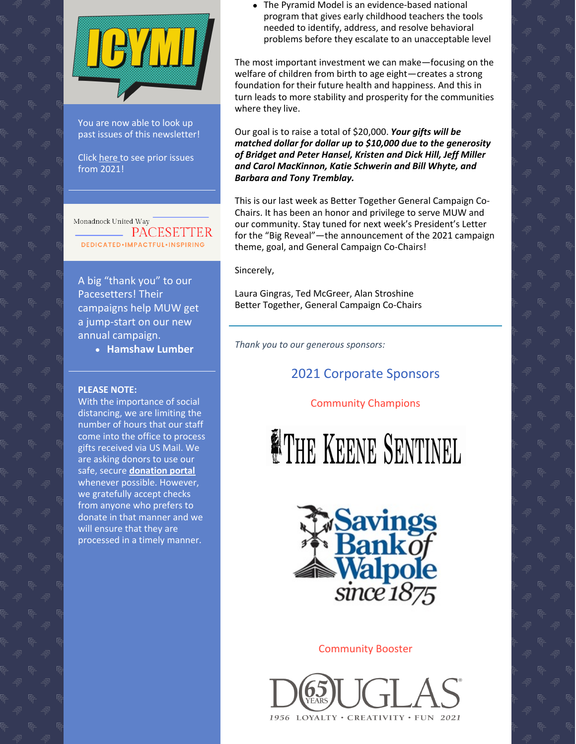

You are now able to look up past issues of this newsletter!

Click [here](https://www.muw.org/2021-newsletters) to see prior issues from 2021!

Monadnock United Way **EXAMPLE PACESETTER DEDICATED** · IMPACTFUL · INSPIRING

A big "thank you" to our Pacesetters! Their campaigns help MUW get a jump-start on our new annual campaign.

**Hamshaw Lumber**

#### **PLEASE NOTE:**

With the importance of social distancing, we are limiting the number of hours that our staff come into the office to process gifts received via US Mail. We are asking donors to use our safe, secure **[donation](https://app.mobilecause.com/f/2vgz/n?reset=1&%253Bid=1&vid=cdoig) portal** whenever possible. However, we gratefully accept checks from anyone who prefers to donate in that manner and we will ensure that they are processed in a timely manner.

The Pyramid Model is an evidence-based national program that gives early childhood teachers the tools needed to identify, address, and resolve behavioral problems before they escalate to an unacceptable level

The most important investment we can make—focusing on the welfare of children from birth to age eight—creates a strong foundation for their future health and happiness. And this in turn leads to more stability and prosperity for the communities where they live.

Our goal is to raise a total of \$20,000. *Your gifts will be matched dollar for dollar up to \$10,000 due to the generosity of Bridget and Peter Hansel, Kristen and Dick Hill, Jeff Miller and Carol MacKinnon, Katie Schwerin and Bill Whyte, and Barbara and Tony Tremblay.*

This is our last week as Better Together General Campaign Co-Chairs. It has been an honor and privilege to serve MUW and our community. Stay tuned for next week's President's Letter for the "Big Reveal"—the announcement of the 2021 campaign theme, goal, and General Campaign Co-Chairs!

Sincerely,

Laura Gingras, Ted McGreer, Alan Stroshine Better Together, General Campaign Co-Chairs

*Thank you to our generous sponsors:*

### 2021 Corporate Sponsors

#### Community Champions

THE KEENE SENTINEL



#### Community Booster